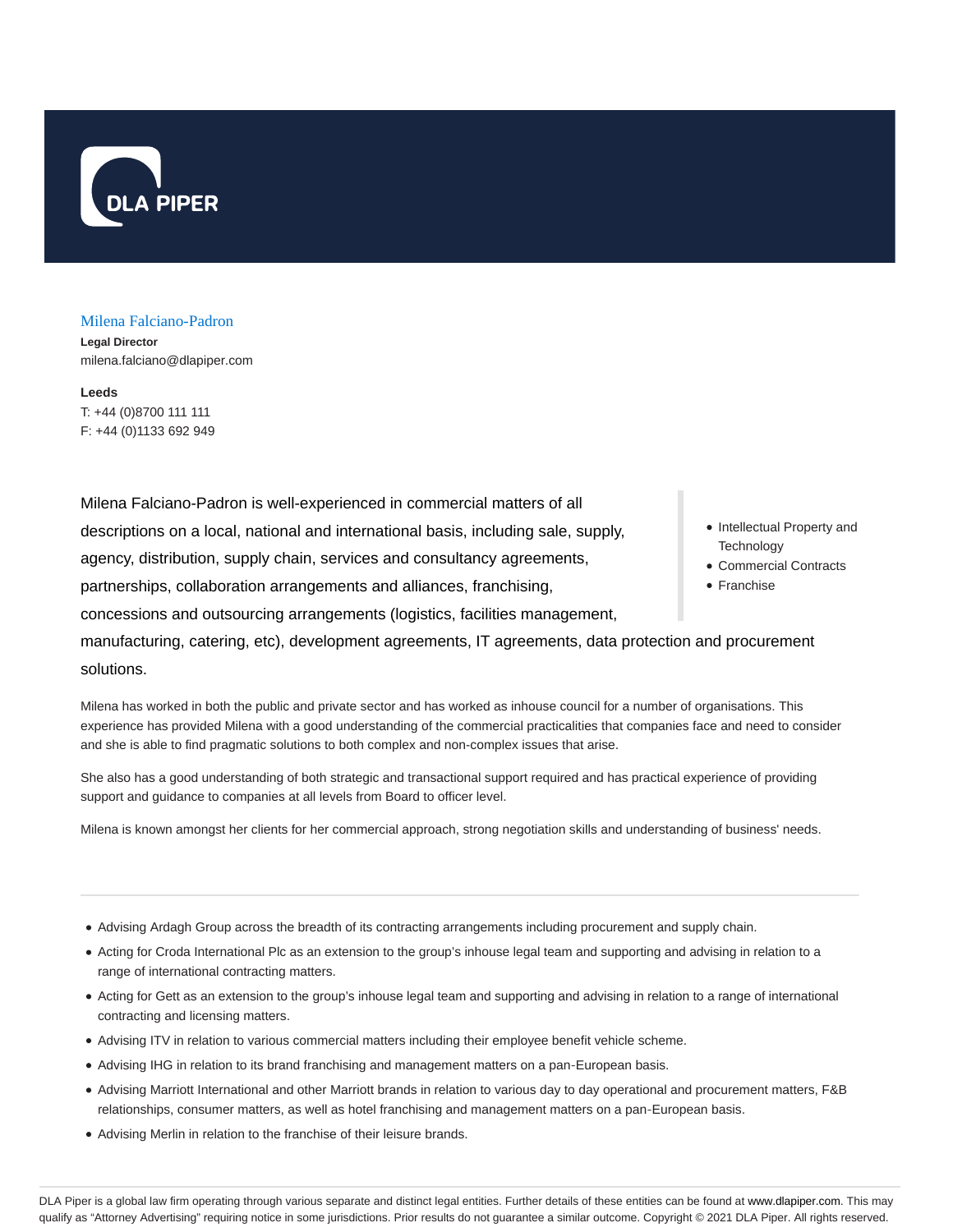

#### Milena Falciano-Padron

**Legal Director** milena.falciano@dlapiper.com

**Leeds** T: +44 (0)8700 111 111 F: +44 (0)1133 692 949

**Technology** • Franchise Milena Falciano-Padron is well-experienced in commercial matters of all descriptions on a local, national and international basis, including sale, supply, agency, distribution, supply chain, services and consultancy agreements, partnerships, collaboration arrangements and alliances, franchising, concessions and outsourcing arrangements (logistics, facilities management, manufacturing, catering, etc), development agreements, IT agreements, data protection and procurement solutions.

Milena has worked in both the public and private sector and has worked as inhouse council for a number of organisations. This experience has provided Milena with a good understanding of the commercial practicalities that companies face and need to consider and she is able to find pragmatic solutions to both complex and non-complex issues that arise.

She also has a good understanding of both strategic and transactional support required and has practical experience of providing support and guidance to companies at all levels from Board to officer level.

Milena is known amongst her clients for her commercial approach, strong negotiation skills and understanding of business' needs.

- Advising Ardagh Group across the breadth of its contracting arrangements including procurement and supply chain.
- Acting for Croda International Plc as an extension to the group's inhouse legal team and supporting and advising in relation to a range of international contracting matters.
- Acting for Gett as an extension to the group's inhouse legal team and supporting and advising in relation to a range of international contracting and licensing matters.
- Advising ITV in relation to various commercial matters including their employee benefit vehicle scheme.
- Advising IHG in relation to its brand franchising and management matters on a pan-European basis.
- Advising Marriott International and other Marriott brands in relation to various day to day operational and procurement matters, F&B relationships, consumer matters, as well as hotel franchising and management matters on a pan-European basis.
- Advising Merlin in relation to the franchise of their leisure brands.
- Intellectual Property and
- Commercial Contracts